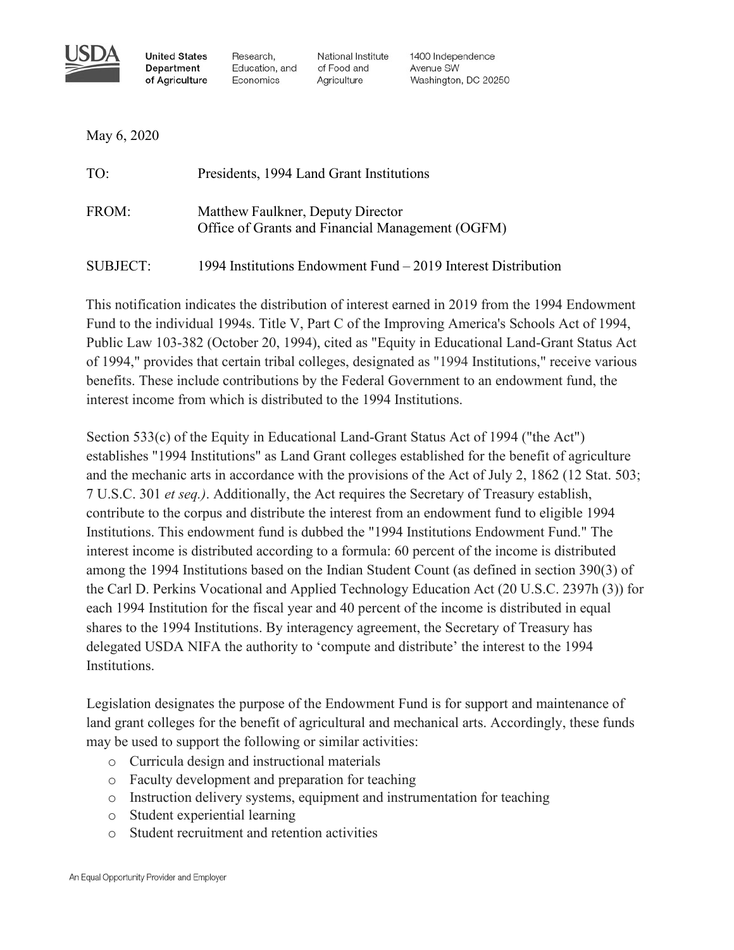

**United States Department** of Agriculture

Research, Education, and Economics

National Institute of Food and Agriculture

1400 Independence Avenue SW Washington, DC 20250

May 6, 2020

| TO:             | Presidents, 1994 Land Grant Institutions                                              |
|-----------------|---------------------------------------------------------------------------------------|
| FROM:           | Matthew Faulkner, Deputy Director<br>Office of Grants and Financial Management (OGFM) |
| <b>SUBJECT:</b> | 1994 Institutions Endowment Fund – 2019 Interest Distribution                         |

This notification indicates the distribution of interest earned in 2019 from the 1994 Endowment Fund to the individual 1994s. Title V, Part C of the Improving America's Schools Act of 1994, Public Law 103-382 (October 20, 1994), cited as "Equity in Educational Land-Grant Status Act of 1994," provides that certain tribal colleges, designated as "1994 Institutions," receive various benefits. These include contributions by the Federal Government to an endowment fund, the interest income from which is distributed to the 1994 Institutions.

Section 533(c) of the Equity in Educational Land-Grant Status Act of 1994 ("the Act") establishes "1994 Institutions" as Land Grant colleges established for the benefit of agriculture and the mechanic arts in accordance with the provisions of the Act of July 2, 1862 (12 Stat. 503; 7 U.S.C. 301 *et seq.)*. Additionally, the Act requires the Secretary of Treasury establish, contribute to the corpus and distribute the interest from an endowment fund to eligible 1994 Institutions. This endowment fund is dubbed the "1994 Institutions Endowment Fund." The interest income is distributed according to a formula: 60 percent of the income is distributed among the 1994 Institutions based on the Indian Student Count (as defined in section 390(3) of the Carl D. Perkins Vocational and Applied Technology Education Act (20 U.S.C. 2397h (3)) for each 1994 Institution for the fiscal year and 40 percent of the income is distributed in equal shares to the 1994 Institutions. By interagency agreement, the Secretary of Treasury has delegated USDA NIFA the authority to 'compute and distribute' the interest to the 1994 Institutions.

Legislation designates the purpose of the Endowment Fund is for support and maintenance of land grant colleges for the benefit of agricultural and mechanical arts. Accordingly, these funds may be used to support the following or similar activities:

- o Curricula design and instructional materials
- o Faculty development and preparation for teaching
- o Instruction delivery systems, equipment and instrumentation for teaching
- o Student experiential learning
- o Student recruitment and retention activities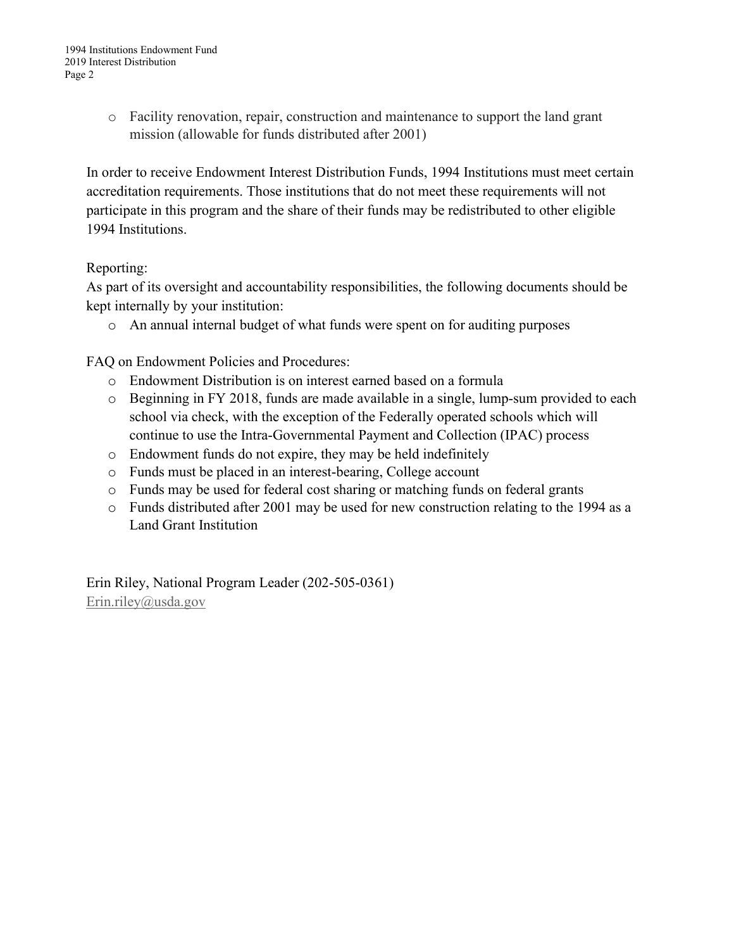o Facility renovation, repair, construction and maintenance to support the land grant mission (allowable for funds distributed after 2001)

In order to receive Endowment Interest Distribution Funds, 1994 Institutions must meet certain accreditation requirements. Those institutions that do not meet these requirements will not participate in this program and the share of their funds may be redistributed to other eligible 1994 Institutions.

## Reporting:

As part of its oversight and accountability responsibilities, the following documents should be kept internally by your institution:

o An annual internal budget of what funds were spent on for auditing purposes

FAQ on Endowment Policies and Procedures:

- o Endowment Distribution is on interest earned based on a formula
- o Beginning in FY 2018, funds are made available in a single, lump-sum provided to each school via check, with the exception of the Federally operated schools which will continue to use the Intra-Governmental Payment and Collection (IPAC) process
- o Endowment funds do not expire, they may be held indefinitely
- o Funds must be placed in an interest-bearing, College account
- o Funds may be used for federal cost sharing or matching funds on federal grants
- o Funds distributed after 2001 may be used for new construction relating to the 1994 as a Land Grant Institution

Erin Riley, National Program Leader (202-505-0361) [Erin.riley@usda.gov](mailto:Erin.riley@usda.gov)